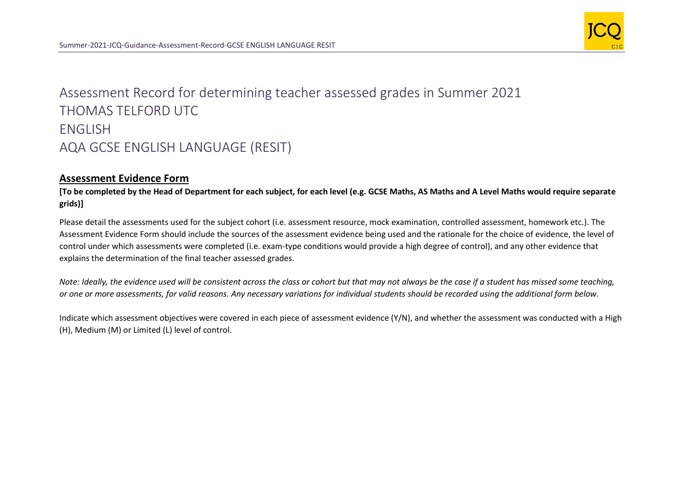

## Assessment Record for determining teacher assessed grades in Summer 2021 THOMAS TELFORD UTC ENGLISH AQA GCSE ENGLISH LANGUAGE (RESIT)

## **Assessment Evidence Form**

**[To be completed by the Head of Department for each subject, for each level (e.g. GCSE Maths, AS Maths and A Level Maths would require separate grids)]**

Please detail the assessments used for the subject cohort (i.e. assessment resource, mock examination, controlled assessment, homework etc.). The Assessment Evidence Form should include the sources of the assessment evidence being used and the rationale for the choice of evidence, the level of control under which assessments were completed (i.e. exam-type conditions would provide a high degree of control), and any other evidence that explains the determination of the final teacher assessed grades.

*Note: Ideally, the evidence used will be consistent across the class or cohort but that may not always be the case if a student has missed some teaching, or one or more assessments, for valid reasons. Any necessary variations for individual students should be recorded using the additional form below.* 

Indicate which assessment objectives were covered in each piece of assessment evidence (Y/N), and whether the assessment was conducted with a High (H), Medium (M) or Limited (L) level of control.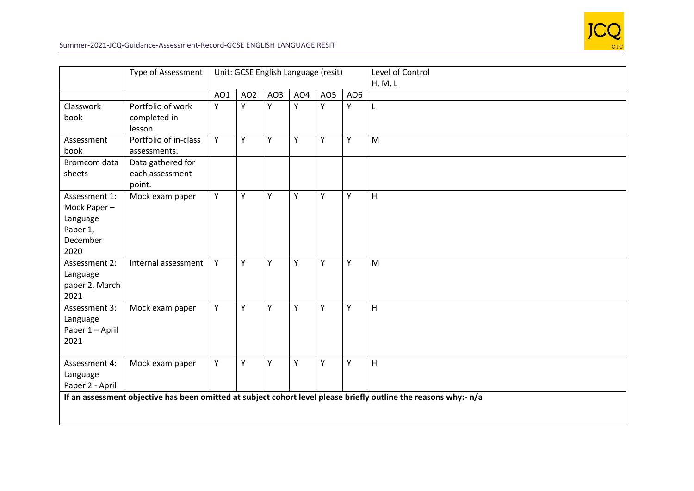

|                                                                          | <b>Type of Assessment</b>                      | Unit: GCSE English Language (resit) |                 |     |     |     |                 | Level of Control<br>H, M, L                                                                                           |
|--------------------------------------------------------------------------|------------------------------------------------|-------------------------------------|-----------------|-----|-----|-----|-----------------|-----------------------------------------------------------------------------------------------------------------------|
|                                                                          |                                                | AO1                                 | AO <sub>2</sub> | AO3 | AO4 | AO5 | AO <sub>6</sub> |                                                                                                                       |
| Classwork<br>book                                                        | Portfolio of work<br>completed in<br>lesson.   | Y                                   | Y               | Y   | Y   | Y   | Y               | $\mathsf{L}$                                                                                                          |
| Assessment<br>book                                                       | Portfolio of in-class<br>assessments.          | Y                                   | Y               | Y   | Y   | Y   | Υ               | M                                                                                                                     |
| Bromcom data<br>sheets                                                   | Data gathered for<br>each assessment<br>point. |                                     |                 |     |     |     |                 |                                                                                                                       |
| Assessment 1:<br>Mock Paper-<br>Language<br>Paper 1,<br>December<br>2020 | Mock exam paper                                | Y                                   | Y               | Y   | Y   | Y   | Y               | H                                                                                                                     |
| Assessment 2:<br>Language<br>paper 2, March<br>2021                      | Internal assessment                            | Y                                   | Υ               | Υ   | Υ   | Y   | Υ               | M                                                                                                                     |
| Assessment 3:<br>Language<br>Paper 1 - April<br>2021                     | Mock exam paper                                | Y                                   | Y               | Y   | Y   | Y   | Y               | H                                                                                                                     |
| Assessment 4:<br>Language<br>Paper 2 - April                             | Mock exam paper                                | Y                                   | Y               | Y   | Y   | Y   | Y               | H<br>If an assessment objective has been omitted at subject cohort level please briefly outline the reasons why:- n/a |
|                                                                          |                                                |                                     |                 |     |     |     |                 |                                                                                                                       |